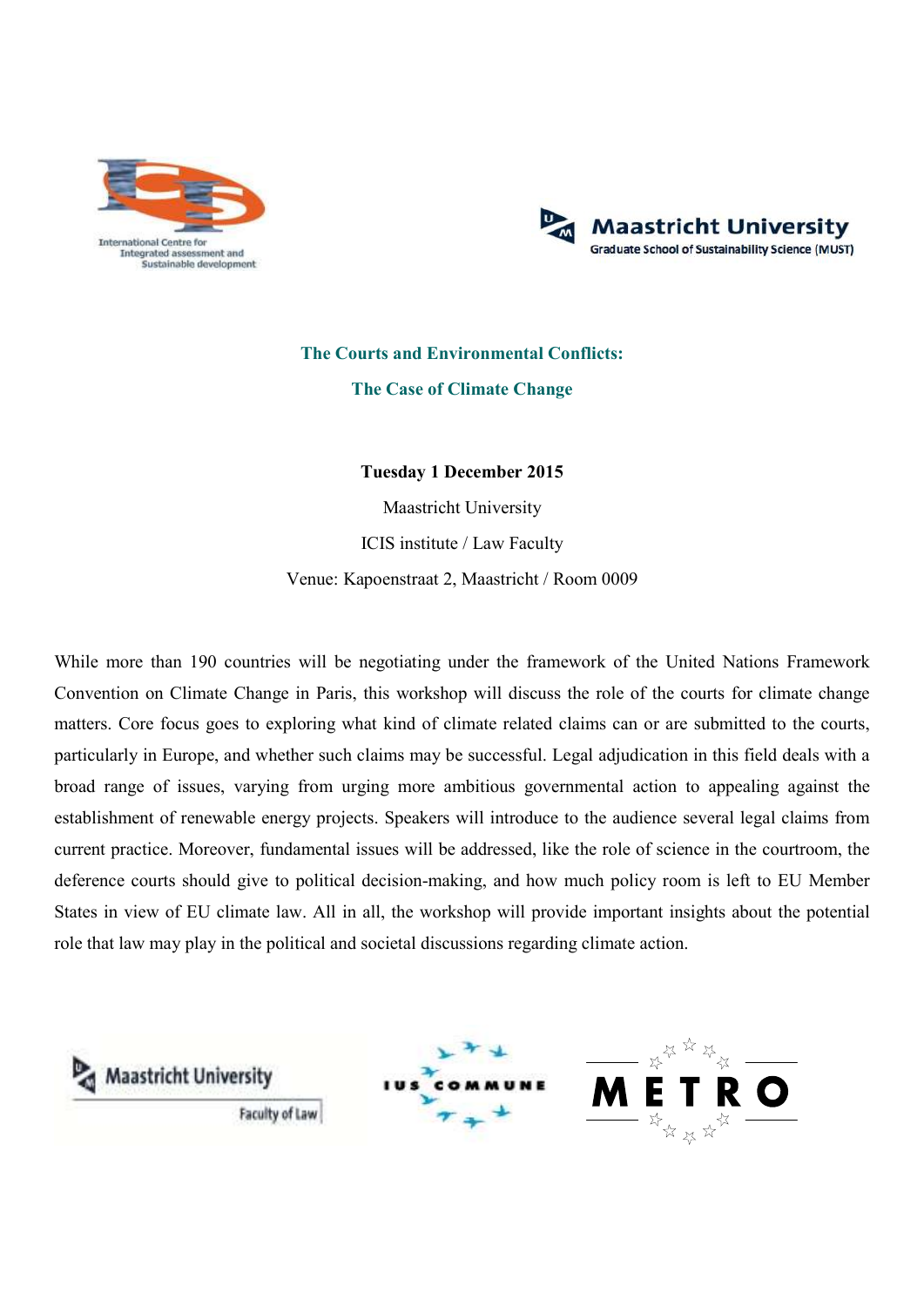



## **The Courts and Environmental Conflicts: The Case of Climate Change**

**Tuesday 1 December 2015** 

Maastricht University ICIS institute / Law Faculty Venue: Kapoenstraat 2, Maastricht / Room 0009

While more than 190 countries will be negotiating under the framework of the United Nations Framework Convention on Climate Change in Paris, this workshop will discuss the role of the courts for climate change matters. Core focus goes to exploring what kind of climate related claims can or are submitted to the courts, particularly in Europe, and whether such claims may be successful. Legal adjudication in this field deals with a broad range of issues, varying from urging more ambitious governmental action to appealing against the establishment of renewable energy projects. Speakers will introduce to the audience several legal claims from current practice. Moreover, fundamental issues will be addressed, like the role of science in the courtroom, the deference courts should give to political decision-making, and how much policy room is left to EU Member States in view of EU climate law. All in all, the workshop will provide important insights about the potential role that law may play in the political and societal discussions regarding climate action.